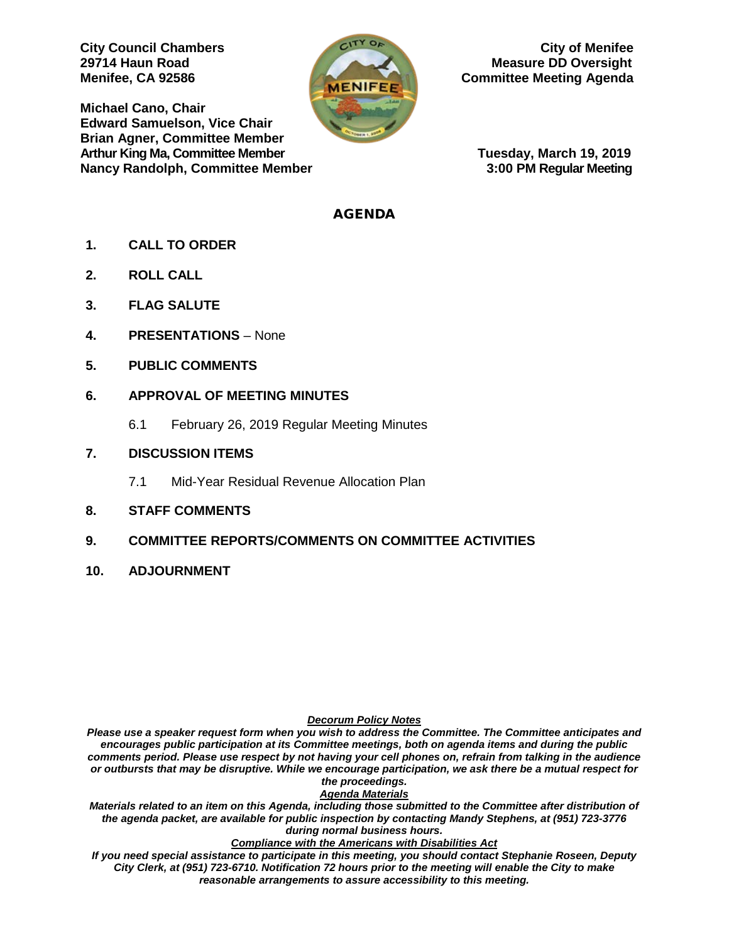**Michael Cano, Chair Edward Samuelson, Vice Chair Brian Agner, Committee Member** Arthur King Ma, Committee Member **Tuesday, March 19, 2019 Nancy Randolph, Committee Member 3:00 PM Regular Meeting**



**City Council Chambers** Curricle City of Menifee **29714 Haun Road Measure DD Oversight Menifee, CA 92586 Committee Meeting Agenda** 

### AGENDA

- **1. CALL TO ORDER**
- **2. ROLL CALL**
- **3. FLAG SALUTE**
- **4. PRESENTATIONS**  None
- **5. PUBLIC COMMENTS**

## **6. APPROVAL OF MEETING MINUTES**

- 6.1 February 26, 2019 Regular Meeting Minutes
- **7. DISCUSSION ITEMS**
	- 7.1 Mid-Year Residual Revenue Allocation Plan
- **8. STAFF COMMENTS**
- **9. COMMITTEE REPORTS/COMMENTS ON COMMITTEE ACTIVITIES**
- **10. ADJOURNMENT**

#### *Decorum Policy Notes*

*Please use a speaker request form when you wish to address the Committee. The Committee anticipates and encourages public participation at its Committee meetings, both on agenda items and during the public comments period. Please use respect by not having your cell phones on, refrain from talking in the audience or outbursts that may be disruptive. While we encourage participation, we ask there be a mutual respect for the proceedings.*

#### *Agenda Materials*

*Materials related to an item on this Agenda, including those submitted to the Committee after distribution of the agenda packet, are available for public inspection by contacting Mandy Stephens, at (951) 723-3776 during normal business hours.* 

#### *Compliance with the Americans with Disabilities Act*

*If you need special assistance to participate in this meeting, you should contact Stephanie Roseen, Deputy City Clerk, at (951) 723-6710. Notification 72 hours prior to the meeting will enable the City to make reasonable arrangements to assure accessibility to this meeting.*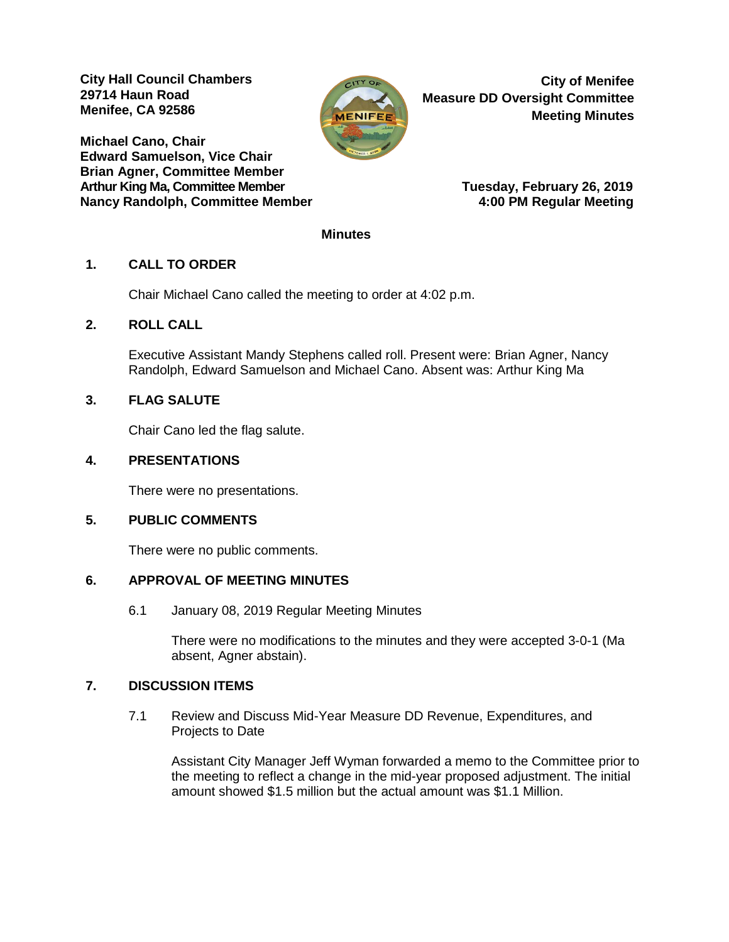**City Hall Council Chambers 29714 Haun Road Menifee, CA 92586** 

**Michael Cano, Chair Edward Samuelson, Vice Chair Brian Agner, Committee Member Arthur King Ma, Committee Member Tuesday, February 26, 2019 Nancy Randolph, Committee Member** 



**City of Menifee Measure DD Oversight Committee Meeting Minutes**

### **Minutes**

## **1. CALL TO ORDER**

Chair Michael Cano called the meeting to order at 4:02 p.m.

## **2. ROLL CALL**

Executive Assistant Mandy Stephens called roll. Present were: Brian Agner, Nancy Randolph, Edward Samuelson and Michael Cano. Absent was: Arthur King Ma

## **3. FLAG SALUTE**

Chair Cano led the flag salute.

## **4. PRESENTATIONS**

There were no presentations.

## **5. PUBLIC COMMENTS**

There were no public comments.

### **6. APPROVAL OF MEETING MINUTES**

6.1 January 08, 2019 Regular Meeting Minutes

There were no modifications to the minutes and they were accepted 3-0-1 (Ma absent, Agner abstain).

### **7. DISCUSSION ITEMS**

7.1 Review and Discuss Mid-Year Measure DD Revenue, Expenditures, and Projects to Date

Assistant City Manager Jeff Wyman forwarded a memo to the Committee prior to the meeting to reflect a change in the mid-year proposed adjustment. The initial amount showed \$1.5 million but the actual amount was \$1.1 Million.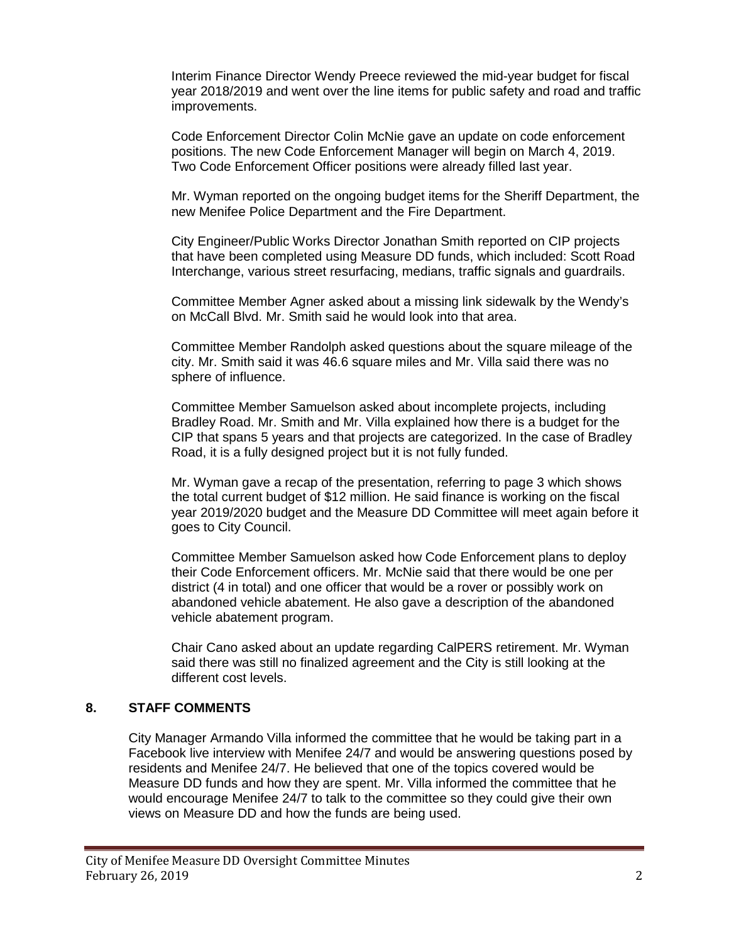Interim Finance Director Wendy Preece reviewed the mid-year budget for fiscal year 2018/2019 and went over the line items for public safety and road and traffic improvements.

Code Enforcement Director Colin McNie gave an update on code enforcement positions. The new Code Enforcement Manager will begin on March 4, 2019. Two Code Enforcement Officer positions were already filled last year.

Mr. Wyman reported on the ongoing budget items for the Sheriff Department, the new Menifee Police Department and the Fire Department.

City Engineer/Public Works Director Jonathan Smith reported on CIP projects that have been completed using Measure DD funds, which included: Scott Road Interchange, various street resurfacing, medians, traffic signals and guardrails.

Committee Member Agner asked about a missing link sidewalk by the Wendy's on McCall Blvd. Mr. Smith said he would look into that area.

Committee Member Randolph asked questions about the square mileage of the city. Mr. Smith said it was 46.6 square miles and Mr. Villa said there was no sphere of influence.

Committee Member Samuelson asked about incomplete projects, including Bradley Road. Mr. Smith and Mr. Villa explained how there is a budget for the CIP that spans 5 years and that projects are categorized. In the case of Bradley Road, it is a fully designed project but it is not fully funded.

Mr. Wyman gave a recap of the presentation, referring to page 3 which shows the total current budget of \$12 million. He said finance is working on the fiscal year 2019/2020 budget and the Measure DD Committee will meet again before it goes to City Council.

Committee Member Samuelson asked how Code Enforcement plans to deploy their Code Enforcement officers. Mr. McNie said that there would be one per district (4 in total) and one officer that would be a rover or possibly work on abandoned vehicle abatement. He also gave a description of the abandoned vehicle abatement program.

Chair Cano asked about an update regarding CalPERS retirement. Mr. Wyman said there was still no finalized agreement and the City is still looking at the different cost levels.

### **8. STAFF COMMENTS**

City Manager Armando Villa informed the committee that he would be taking part in a Facebook live interview with Menifee 24/7 and would be answering questions posed by residents and Menifee 24/7. He believed that one of the topics covered would be Measure DD funds and how they are spent. Mr. Villa informed the committee that he would encourage Menifee 24/7 to talk to the committee so they could give their own views on Measure DD and how the funds are being used.